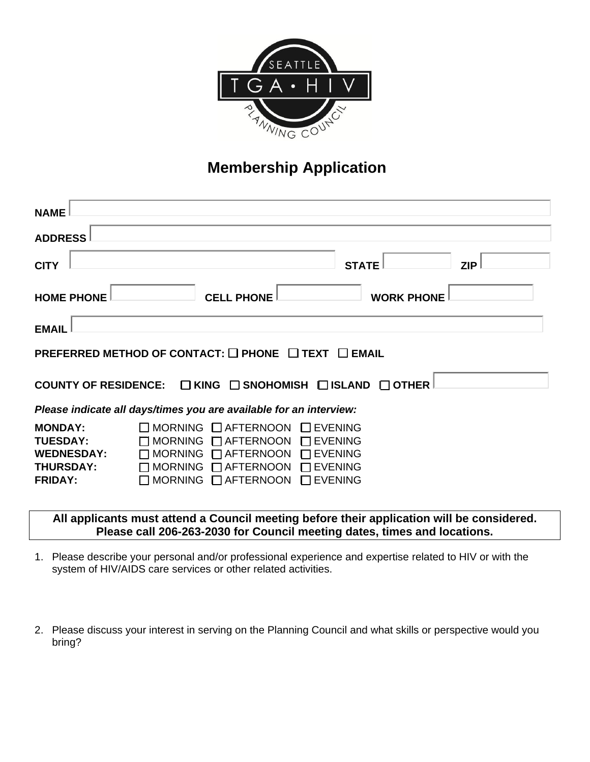

# **Membership Application**

| <b>NAME</b>                                                                                  |                                                                                                                                                                |                                                                                        |            |  |  |  |  |
|----------------------------------------------------------------------------------------------|----------------------------------------------------------------------------------------------------------------------------------------------------------------|----------------------------------------------------------------------------------------|------------|--|--|--|--|
| <b>ADDRESS</b>                                                                               |                                                                                                                                                                |                                                                                        |            |  |  |  |  |
| <b>CITY</b>                                                                                  |                                                                                                                                                                | <b>STATE</b>                                                                           | <b>ZIP</b> |  |  |  |  |
| <b>HOME PHONE</b>                                                                            | <b>CELL PHONE</b>                                                                                                                                              | <b>WORK PHONE</b>                                                                      |            |  |  |  |  |
| <b>EMAIL</b>                                                                                 |                                                                                                                                                                |                                                                                        |            |  |  |  |  |
| PREFERRED METHOD OF CONTACT: □ PHONE □ TEXT □ EMAIL                                          |                                                                                                                                                                |                                                                                        |            |  |  |  |  |
| COUNTY OF RESIDENCE: $\Box$ KING $\Box$ SNOHOMISH $\Box$ ISLAND<br>$\Box$ OTHER              |                                                                                                                                                                |                                                                                        |            |  |  |  |  |
| Please indicate all days/times you are available for an interview:                           |                                                                                                                                                                |                                                                                        |            |  |  |  |  |
| <b>MONDAY:</b><br><b>TUESDAY:</b><br><b>WEDNESDAY:</b><br><b>THURSDAY:</b><br><b>FRIDAY:</b> | MORNING <b>Q</b> AFTERNOON<br><b>MORNING</b><br>$\Box$ AFTERNOON<br>MORNING $\Box$ AFTERNOON<br><b>MORNING</b><br>$\Box$ AFTERNOON<br>MORNING $\Box$ AFTERNOON | <b>EVENING</b><br><b>EVENING</b><br><b>EVENING</b><br><b>EVENING</b><br><b>EVENING</b> |            |  |  |  |  |

### **All applicants must attend a Council meeting before their application will be considered. Please call 206-263-2030 for Council meeting dates, times and locations.**

- 1. Please describe your personal and/or professional experience and expertise related to HIV or with the system of HIV/AIDS care services or other related activities.
- 2. Please discuss your interest in serving on the Planning Council and what skills or perspective would you bring?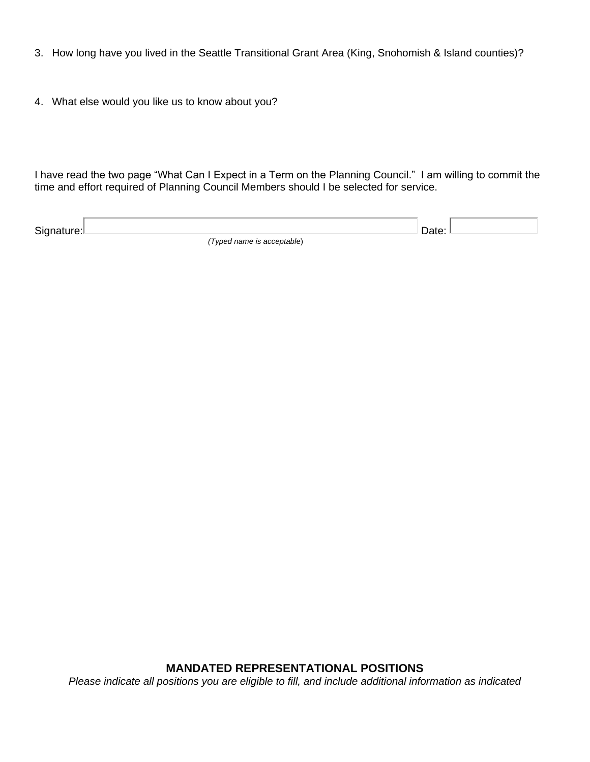- 3. How long have you lived in the Seattle Transitional Grant Area (King, Snohomish & Island counties)?
- 4. What else would you like us to know about you?

I have read the two page "What Can I Expect in a Term on the Planning Council." I am willing to commit the time and effort required of Planning Council Members should I be selected for service.

| Signature: | JATO.                      |  |
|------------|----------------------------|--|
|            | (Typed name is acceptable) |  |

**MANDATED REPRESENTATIONAL POSITIONS** *Please indicate all positions you are eligible to fill, and include additional information as indicated*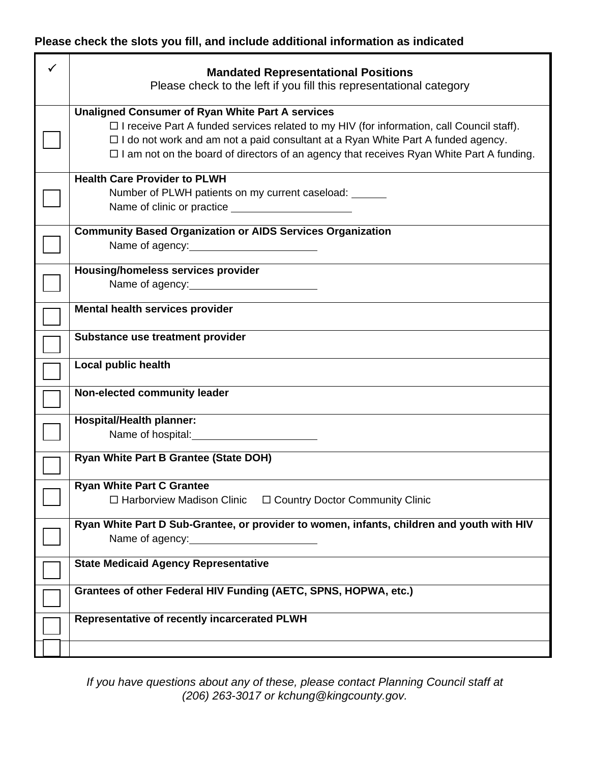# **Please check the slots you fill, and include additional information as indicated**

| <b>Mandated Representational Positions</b><br>Please check to the left if you fill this representational category                                                                                                                                                                                                                                         |
|-----------------------------------------------------------------------------------------------------------------------------------------------------------------------------------------------------------------------------------------------------------------------------------------------------------------------------------------------------------|
| <b>Unaligned Consumer of Ryan White Part A services</b><br>$\Box$ I receive Part A funded services related to my HIV (for information, call Council staff).<br>$\Box$ I do not work and am not a paid consultant at a Ryan White Part A funded agency.<br>$\Box$ I am not on the board of directors of an agency that receives Ryan White Part A funding. |
| <b>Health Care Provider to PLWH</b><br>Number of PLWH patients on my current caseload:                                                                                                                                                                                                                                                                    |
| <b>Community Based Organization or AIDS Services Organization</b><br>Name of agency:                                                                                                                                                                                                                                                                      |
| <b>Housing/homeless services provider</b><br>Name of agency:                                                                                                                                                                                                                                                                                              |
| Mental health services provider                                                                                                                                                                                                                                                                                                                           |
| Substance use treatment provider                                                                                                                                                                                                                                                                                                                          |
| <b>Local public health</b>                                                                                                                                                                                                                                                                                                                                |
| Non-elected community leader                                                                                                                                                                                                                                                                                                                              |
| <b>Hospital/Health planner:</b>                                                                                                                                                                                                                                                                                                                           |
| <b>Ryan White Part B Grantee (State DOH)</b>                                                                                                                                                                                                                                                                                                              |
| <b>Ryan White Part C Grantee</b><br>□ Harborview Madison Clinic<br>$\Box$ Country Doctor Community Clinic                                                                                                                                                                                                                                                 |
| Ryan White Part D Sub-Grantee, or provider to women, infants, children and youth with HIV<br>Name of agency:                                                                                                                                                                                                                                              |
| <b>State Medicaid Agency Representative</b>                                                                                                                                                                                                                                                                                                               |
| Grantees of other Federal HIV Funding (AETC, SPNS, HOPWA, etc.)                                                                                                                                                                                                                                                                                           |
| Representative of recently incarcerated PLWH                                                                                                                                                                                                                                                                                                              |
|                                                                                                                                                                                                                                                                                                                                                           |

*If you have questions about any of these, please contact Planning Council staff at (206) 263-3017 or kchung@kingcounty.gov.*